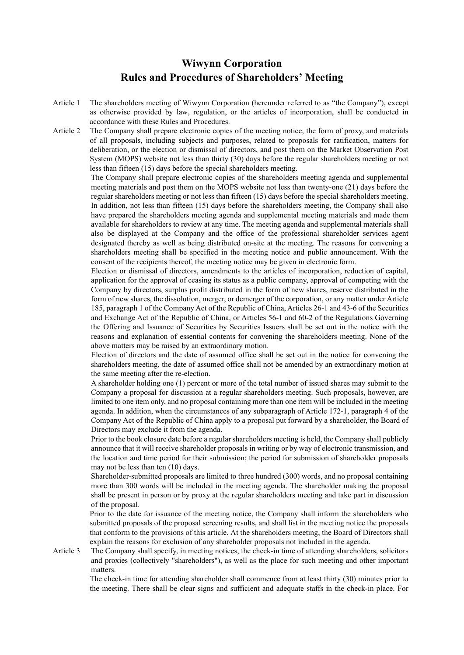## **Wiwynn Corporation Rules and Procedures of Shareholders' Meeting**

- Article 1 The shareholders meeting of Wiwynn Corporation (hereunder referred to as "the Company"), except as otherwise provided by law, regulation, or the articles of incorporation, shall be conducted in accordance with these Rules and Procedures.
- Article 2 The Company shall prepare electronic copies of the meeting notice, the form of proxy, and materials of all proposals, including subjects and purposes, related to proposals for ratification, matters for deliberation, or the election or dismissal of directors, and post them on the Market Observation Post System (MOPS) website not less than thirty (30) days before the regular shareholders meeting or not less than fifteen (15) days before the special shareholders meeting.

The Company shall prepare electronic copies of the shareholders meeting agenda and supplemental meeting materials and post them on the MOPS website not less than twenty-one (21) days before the regular shareholders meeting or not less than fifteen (15) days before the special shareholders meeting. In addition, not less than fifteen (15) days before the shareholders meeting, the Company shall also have prepared the shareholders meeting agenda and supplemental meeting materials and made them available for shareholders to review at any time. The meeting agenda and supplemental materials shall also be displayed at the Company and the office of the professional shareholder services agent designated thereby as well as being distributed on-site at the meeting. The reasons for convening a shareholders meeting shall be specified in the meeting notice and public announcement. With the consent of the recipients thereof, the meeting notice may be given in electronic form.

Election or dismissal of directors, amendments to the articles of incorporation, reduction of capital, application for the approval of ceasing its status as a public company, approval of competing with the Company by directors, surplus profit distributed in the form of new shares, reserve distributed in the form of new shares, the dissolution, merger, or demerger of the corporation, or any matter under Article 185, paragraph 1 of the Company Act of the Republic of China, Articles 26-1 and 43-6 of the Securities and Exchange Act of the Republic of China, or Articles 56-1 and 60-2 of the Regulations Governing the Offering and Issuance of Securities by Securities Issuers shall be set out in the notice with the reasons and explanation of essential contents for convening the shareholders meeting. None of the above matters may be raised by an extraordinary motion.

Election of directors and the date of assumed office shall be set out in the notice for convening the shareholders meeting, the date of assumed office shall not be amended by an extraordinary motion at the same meeting after the re-election.

A shareholder holding one (1) percent or more of the total number of issued shares may submit to the Company a proposal for discussion at a regular shareholders meeting. Such proposals, however, are limited to one item only, and no proposal containing more than one item will be included in the meeting agenda. In addition, when the circumstances of any subparagraph of Article 172-1, paragraph 4 of the Company Act of the Republic of China apply to a proposal put forward by a shareholder, the Board of Directors may exclude it from the agenda.

Prior to the book closure date before a regular shareholders meeting is held, the Company shall publicly announce that it will receive shareholder proposals in writing or by way of electronic transmission, and the location and time period for their submission; the period for submission of shareholder proposals may not be less than ten (10) days.

Shareholder-submitted proposals are limited to three hundred (300) words, and no proposal containing more than 300 words will be included in the meeting agenda. The shareholder making the proposal shall be present in person or by proxy at the regular shareholders meeting and take part in discussion of the proposal.

Prior to the date for issuance of the meeting notice, the Company shall inform the shareholders who submitted proposals of the proposal screening results, and shall list in the meeting notice the proposals that conform to the provisions of this article. At the shareholders meeting, the Board of Directors shall explain the reasons for exclusion of any shareholder proposals not included in the agenda.

Article 3 The Company shall specify, in meeting notices, the check-in time of attending shareholders, solicitors and proxies (collectively "shareholders"), as well as the place for such meeting and other important matters.

> The check-in time for attending shareholder shall commence from at least thirty (30) minutes prior to the meeting. There shall be clear signs and sufficient and adequate staffs in the check-in place. For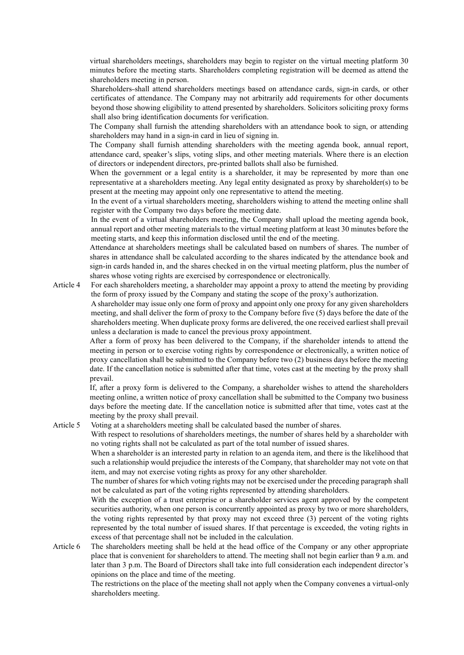virtual shareholders meetings, shareholders may begin to register on the virtual meeting platform 30 minutes before the meeting starts. Shareholders completing registration will be deemed as attend the shareholders meeting in person.

Shareholders shall attend shareholders meetings based on attendance cards, sign-in cards, or other certificates of attendance. The Company may not arbitrarily add requirements for other documents beyond those showing eligibility to attend presented by shareholders. Solicitors soliciting proxy forms shall also bring identification documents for verification.

The Company shall furnish the attending shareholders with an attendance book to sign, or attending shareholders may hand in a sign-in card in lieu of signing in.

The Company shall furnish attending shareholders with the meeting agenda book, annual report, attendance card, speaker's slips, voting slips, and other meeting materials. Where there is an election of directors or independent directors, pre-printed ballots shall also be furnished.

When the government or a legal entity is a shareholder, it may be represented by more than one representative at a shareholders meeting. Any legal entity designated as proxy by shareholder(s) to be present at the meeting may appoint only one representative to attend the meeting.

In the event of a virtual shareholders meeting, shareholders wishing to attend the meeting online shall register with the Company two days before the meeting date.

In the event of a virtual shareholders meeting, the Company shall upload the meeting agenda book, annual report and other meeting materials to the virtual meeting platform at least 30 minutes before the meeting starts, and keep this information disclosed until the end of the meeting.

Attendance at shareholders meetings shall be calculated based on numbers of shares. The number of shares in attendance shall be calculated according to the shares indicated by the attendance book and sign-in cards handed in, and the shares checked in on the virtual meeting platform, plus the number of shares whose voting rights are exercised by correspondence or electronically.

Article 4 For each shareholders meeting, a shareholder may appoint a proxy to attend the meeting by providing the form of proxy issued by the Company and stating the scope of the proxy's authorization.

> A shareholder may issue only one form of proxy and appoint only one proxy for any given shareholders meeting, and shall deliver the form of proxy to the Company before five (5) days before the date of the shareholders meeting. When duplicate proxy forms are delivered, the one received earliest shall prevail unless a declaration is made to cancel the previous proxy appointment.

> After a form of proxy has been delivered to the Company, if the shareholder intends to attend the meeting in person or to exercise voting rights by correspondence or electronically, a written notice of proxy cancellation shall be submitted to the Company before two (2) business days before the meeting date. If the cancellation notice is submitted after that time, votes cast at the meeting by the proxy shall prevail.

> If, after a proxy form is delivered to the Company, a shareholder wishes to attend the shareholders meeting online, a written notice of proxy cancellation shall be submitted to the Company two business days before the meeting date. If the cancellation notice is submitted after that time, votes cast at the meeting by the proxy shall prevail.

Article 5 Voting at a shareholders meeting shall be calculated based the number of shares.

With respect to resolutions of shareholders meetings, the number of shares held by a shareholder with no voting rights shall not be calculated as part of the total number of issued shares.

When a shareholder is an interested party in relation to an agenda item, and there is the likelihood that such a relationship would prejudice the interests of the Company, that shareholder may not vote on that item, and may not exercise voting rights as proxy for any other shareholder.

The number of shares for which voting rights may not be exercised under the preceding paragraph shall not be calculated as part of the voting rights represented by attending shareholders.

With the exception of a trust enterprise or a shareholder services agent approved by the competent securities authority, when one person is concurrently appointed as proxy by two or more shareholders, the voting rights represented by that proxy may not exceed three (3) percent of the voting rights represented by the total number of issued shares. If that percentage is exceeded, the voting rights in excess of that percentage shall not be included in the calculation.

Article 6 The shareholders meeting shall be held at the head office of the Company or any other appropriate place that is convenient for shareholders to attend. The meeting shall not begin earlier than 9 a.m. and later than 3 p.m. The Board of Directors shall take into full consideration each independent director's opinions on the place and time of the meeting.

The restrictions on the place of the meeting shall not apply when the Company convenes a virtual-only shareholders meeting.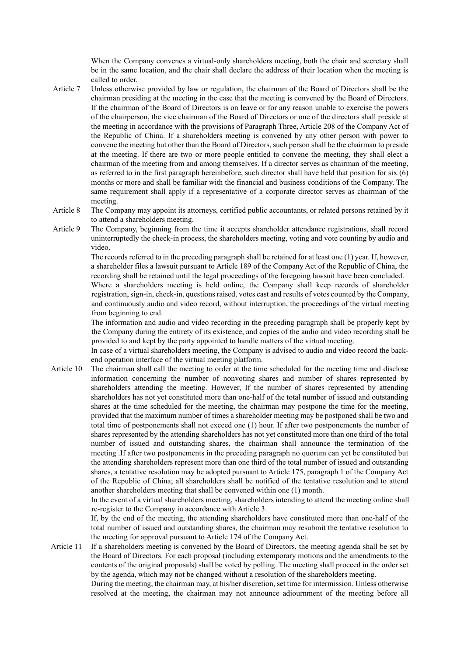When the Company convenes a virtual-only shareholders meeting, both the chair and secretary shall be in the same location, and the chair shall declare the address of their location when the meeting is called to order.

- Article 7 Unless otherwise provided by law or regulation, the chairman of the Board of Directors shall be the chairman presiding at the meeting in the case that the meeting is convened by the Board of Directors. If the chairman of the Board of Directors is on leave or for any reason unable to exercise the powers of the chairperson, the vice chairman of the Board of Directors or one of the directors shall preside at the meeting in accordance with the provisions of Paragraph Three, Article 208 of the Company Act of the Republic of China. If a shareholders meeting is convened by any other person with power to convene the meeting but other than the Board of Directors, such person shall be the chairman to preside at the meeting. If there are two or more people entitled to convene the meeting, they shall elect a chairman of the meeting from and among themselves. If a director serves as chairman of the meeting, as referred to in the first paragraph hereinbefore, such director shall have held that position for six (6) months or more and shall be familiar with the financial and business conditions of the Company. The same requirement shall apply if a representative of a corporate director serves as chairman of the meeting.
- Article 8 The Company may appoint its attorneys, certified public accountants, or related persons retained by it to attend a shareholders meeting.
- Article 9 The Company, beginning from the time it accepts shareholder attendance registrations, shall record uninterruptedly the check-in process, the shareholders meeting, voting and vote counting by audio and video.

The records referred to in the preceding paragraph shall be retained for at least one (1) year. If, however, a shareholder files a lawsuit pursuant to Article 189 of the Company Act of the Republic of China, the recording shall be retained until the legal proceedings of the foregoing lawsuit have been concluded.

Where a shareholders meeting is held online, the Company shall keep records of shareholder registration, sign-in, check-in, questions raised, votes cast and results of votes counted by the Company, and continuously audio and video record, without interruption, the proceedings of the virtual meeting from beginning to end.

The information and audio and video recording in the preceding paragraph shall be properly kept by the Company during the entirety of its existence, and copies of the audio and video recording shall be provided to and kept by the party appointed to handle matters of the virtual meeting.

In case of a virtual shareholders meeting, the Company is advised to audio and video record the backend operation interface of the virtual meeting platform.

Article 10 The chairman shall call the meeting to order at the time scheduled for the meeting time and disclose information concerning the number of nonvoting shares and number of shares represented by shareholders attending the meeting. However, If the number of shares represented by attending shareholders has not yet constituted more than one-half of the total number of issued and outstanding shares at the time scheduled for the meeting, the chairman may postpone the time for the meeting, provided that the maximum number of times a shareholder meeting may be postponed shall be two and total time of postponements shall not exceed one (1) hour. If after two postponements the number of shares represented by the attending shareholders has not yet constituted more than one third of the total number of issued and outstanding shares, the chairman shall announce the termination of the meeting .If after two postponements in the preceding paragraph no quorum can yet be constituted but the attending shareholders represent more than one third of the total number of issued and outstanding shares, a tentative resolution may be adopted pursuant to Article 175, paragraph 1 of the Company Act of the Republic of China; all shareholders shall be notified of the tentative resolution and to attend another shareholders meeting that shall be convened within one (1) month.

> In the event of a virtual shareholders meeting, shareholders intending to attend the meeting online shall re-register to the Company in accordance with Article 3.

> If, by the end of the meeting, the attending shareholders have constituted more than one-half of the total number of issued and outstanding shares, the chairman may resubmit the tentative resolution to the meeting for approval pursuant to Article 174 of the Company Act.

Article 11 If a shareholders meeting is convened by the Board of Directors, the meeting agenda shall be set by the Board of Directors. For each proposal (including extemporary motions and the amendments to the contents of the original proposals) shall be voted by polling. The meeting shall proceed in the order set by the agenda, which may not be changed without a resolution of the shareholders meeting.

During the meeting, the chairman may, at his/her discretion, set time for intermission. Unless otherwise resolved at the meeting, the chairman may not announce adjournment of the meeting before all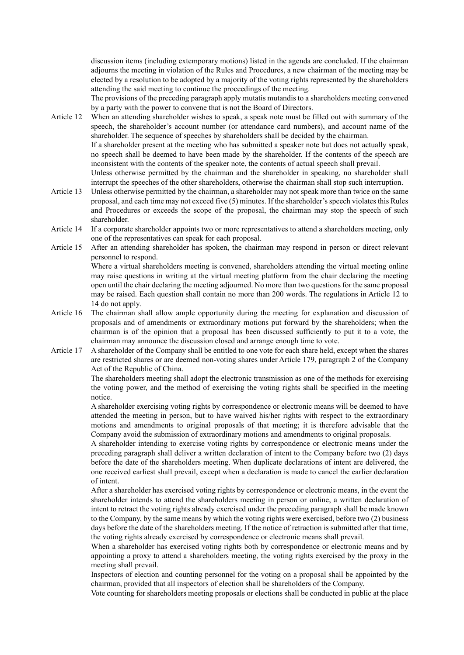discussion items (including extemporary motions) listed in the agenda are concluded. If the chairman adjourns the meeting in violation of the Rules and Procedures, a new chairman of the meeting may be elected by a resolution to be adopted by a majority of the voting rights represented by the shareholders attending the said meeting to continue the proceedings of the meeting.

The provisions of the preceding paragraph apply mutatis mutandis to a shareholders meeting convened by a party with the power to convene that is not the Board of Directors.

Article 12 When an attending shareholder wishes to speak, a speak note must be filled out with summary of the speech, the shareholder's account number (or attendance card numbers), and account name of the shareholder. The sequence of speeches by shareholders shall be decided by the chairman.

> If a shareholder present at the meeting who has submitted a speaker note but does not actually speak, no speech shall be deemed to have been made by the shareholder. If the contents of the speech are inconsistent with the contents of the speaker note, the contents of actual speech shall prevail.

Unless otherwise permitted by the chairman and the shareholder in speaking, no shareholder shall interrupt the speeches of the other shareholders, otherwise the chairman shall stop such interruption.

- Article 13 Unless otherwise permitted by the chairman, a shareholder may not speak more than twice on the same proposal, and each time may not exceed five (5) minutes. If the shareholder's speech violates this Rules and Procedures or exceeds the scope of the proposal, the chairman may stop the speech of such shareholder.
- Article 14 If a corporate shareholder appoints two or more representatives to attend a shareholders meeting, only one of the representatives can speak for each proposal.
- Article 15 After an attending shareholder has spoken, the chairman may respond in person or direct relevant personnel to respond.

Where a virtual shareholders meeting is convened, shareholders attending the virtual meeting online may raise questions in writing at the virtual meeting platform from the chair declaring the meeting open until the chair declaring the meeting adjourned. No more than two questions for the same proposal may be raised. Each question shall contain no more than 200 words. The regulations in Article 12 to 14 do not apply.

- Article 16 The chairman shall allow ample opportunity during the meeting for explanation and discussion of proposals and of amendments or extraordinary motions put forward by the shareholders; when the chairman is of the opinion that a proposal has been discussed sufficiently to put it to a vote, the chairman may announce the discussion closed and arrange enough time to vote.
- Article 17 A shareholder of the Company shall be entitled to one vote for each share held, except when the shares are restricted shares or are deemed non-voting shares under Article 179, paragraph 2 of the Company Act of the Republic of China.

The shareholders meeting shall adopt the electronic transmission as one of the methods for exercising the voting power, and the method of exercising the voting rights shall be specified in the meeting notice.

A shareholder exercising voting rights by correspondence or electronic means will be deemed to have attended the meeting in person, but to have waived his/her rights with respect to the extraordinary motions and amendments to original proposals of that meeting; it is therefore advisable that the Company avoid the submission of extraordinary motions and amendments to original proposals.

A shareholder intending to exercise voting rights by correspondence or electronic means under the preceding paragraph shall deliver a written declaration of intent to the Company before two (2) days before the date of the shareholders meeting. When duplicate declarations of intent are delivered, the one received earliest shall prevail, except when a declaration is made to cancel the earlier declaration of intent.

After a shareholder has exercised voting rights by correspondence or electronic means, in the event the shareholder intends to attend the shareholders meeting in person or online, a written declaration of intent to retract the voting rights already exercised under the preceding paragraph shall be made known to the Company, by the same means by which the voting rights were exercised, before two (2) business days before the date of the shareholders meeting. If the notice of retraction is submitted after that time, the voting rights already exercised by correspondence or electronic means shall prevail.

When a shareholder has exercised voting rights both by correspondence or electronic means and by appointing a proxy to attend a shareholders meeting, the voting rights exercised by the proxy in the meeting shall prevail.

Inspectors of election and counting personnel for the voting on a proposal shall be appointed by the chairman, provided that all inspectors of election shall be shareholders of the Company.

Vote counting for shareholders meeting proposals or elections shall be conducted in public at the place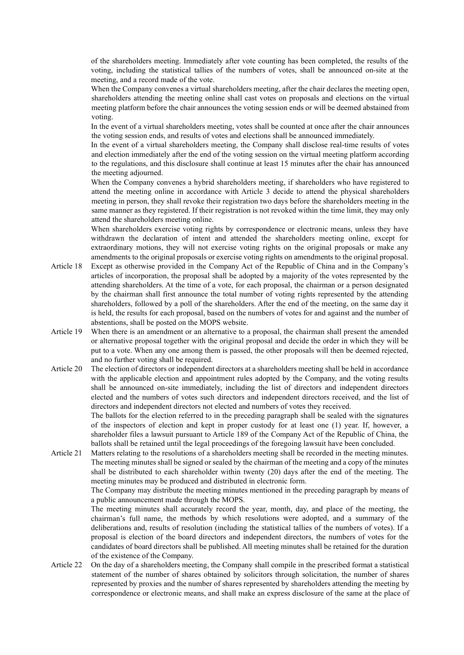of the shareholders meeting. Immediately after vote counting has been completed, the results of the voting, including the statistical tallies of the numbers of votes, shall be announced on-site at the meeting, and a record made of the vote.

When the Company convenes a virtual shareholders meeting, after the chair declares the meeting open, shareholders attending the meeting online shall cast votes on proposals and elections on the virtual meeting platform before the chair announces the voting session ends or will be deemed abstained from voting.

In the event of a virtual shareholders meeting, votes shall be counted at once after the chair announces the voting session ends, and results of votes and elections shall be announced immediately.

In the event of a virtual shareholders meeting, the Company shall disclose real-time results of votes and election immediately after the end of the voting session on the virtual meeting platform according to the regulations, and this disclosure shall continue at least 15 minutes after the chair has announced the meeting adjourned.

When the Company convenes a hybrid shareholders meeting, if shareholders who have registered to attend the meeting online in accordance with Article 3 decide to attend the physical shareholders meeting in person, they shall revoke their registration two days before the shareholders meeting in the same manner as they registered. If their registration is not revoked within the time limit, they may only attend the shareholders meeting online.

When shareholders exercise voting rights by correspondence or electronic means, unless they have withdrawn the declaration of intent and attended the shareholders meeting online, except for extraordinary motions, they will not exercise voting rights on the original proposals or make any amendments to the original proposals or exercise voting rights on amendments to the original proposal.

- Article 18 Except as otherwise provided in the Company Act of the Republic of China and in the Company's articles of incorporation, the proposal shall be adopted by a majority of the votes represented by the attending shareholders. At the time of a vote, for each proposal, the chairman or a person designated by the chairman shall first announce the total number of voting rights represented by the attending shareholders, followed by a poll of the shareholders. After the end of the meeting, on the same day it is held, the results for each proposal, based on the numbers of votes for and against and the number of abstentions, shall be posted on the MOPS website.
- Article 19 When there is an amendment or an alternative to a proposal, the chairman shall present the amended or alternative proposal together with the original proposal and decide the order in which they will be put to a vote. When any one among them is passed, the other proposals will then be deemed rejected, and no further voting shall be required.
- Article 20 The election of directors or independent directors at a shareholders meeting shall be held in accordance with the applicable election and appointment rules adopted by the Company, and the voting results shall be announced on-site immediately, including the list of directors and independent directors elected and the numbers of votes such directors and independent directors received, and the list of directors and independent directors not elected and numbers of votes they received.

The ballots for the election referred to in the preceding paragraph shall be sealed with the signatures of the inspectors of election and kept in proper custody for at least one (1) year. If, however, a shareholder files a lawsuit pursuant to Article 189 of the Company Act of the Republic of China, the ballots shall be retained until the legal proceedings of the foregoing lawsuit have been concluded.

Article 21 Matters relating to the resolutions of a shareholders meeting shall be recorded in the meeting minutes. The meeting minutes shall be signed or sealed by the chairman of the meeting and a copy of the minutes shall be distributed to each shareholder within twenty (20) days after the end of the meeting. The meeting minutes may be produced and distributed in electronic form.

> The Company may distribute the meeting minutes mentioned in the preceding paragraph by means of a public announcement made through the MOPS.

> The meeting minutes shall accurately record the year, month, day, and place of the meeting, the chairman's full name, the methods by which resolutions were adopted, and a summary of the deliberations and, results of resolution (including the statistical tallies of the numbers of votes). If a proposal is election of the board directors and independent directors, the numbers of votes for the candidates of board directors shall be published. All meeting minutes shall be retained for the duration of the existence of the Company.

Article 22 On the day of a shareholders meeting, the Company shall compile in the prescribed format a statistical statement of the number of shares obtained by solicitors through solicitation, the number of shares represented by proxies and the number of shares represented by shareholders attending the meeting by correspondence or electronic means, and shall make an express disclosure of the same at the place of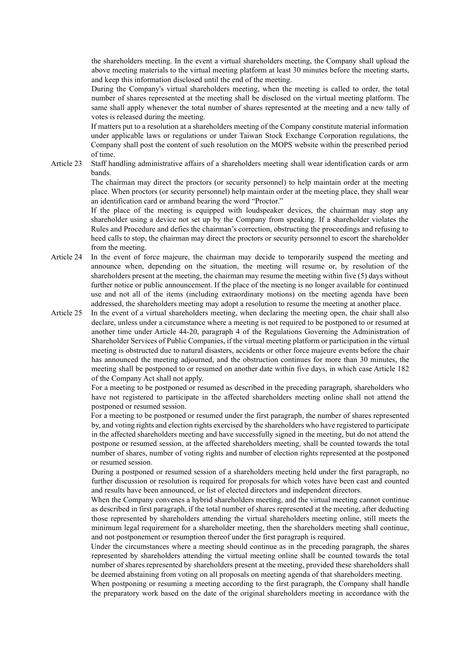the shareholders meeting. In the event a virtual shareholders meeting, the Company shall upload the above meeting materials to the virtual meeting platform at least 30 minutes before the meeting starts, and keep this information disclosed until the end of the meeting.

During the Company's virtual shareholders meeting, when the meeting is called to order, the total number of shares represented at the meeting shall be disclosed on the virtual meeting platform. The same shall apply whenever the total number of shares represented at the meeting and a new tally of votes is released during the meeting.

If matters put to a resolution at a shareholders meeting of the Company constitute material information under applicable laws or regulations or under Taiwan Stock Exchange Corporation regulations, the Company shall post the content of such resolution on the MOPS website within the prescribed period of time.

Article 23 Staff handling administrative affairs of a shareholders meeting shall wear identification cards or arm bands.

> The chairman may direct the proctors (or security personnel) to help maintain order at the meeting place. When proctors (or security personnel) help maintain order at the meeting place, they shall wear an identification card or armband bearing the word "Proctor."

> If the place of the meeting is equipped with loudspeaker devices, the chairman may stop any shareholder using a device not set up by the Company from speaking. If a shareholder violates the Rules and Procedure and defies the chairman's correction, obstructing the proceedings and refusing to heed calls to stop, the chairman may direct the proctors or security personnel to escort the shareholder from the meeting.

- Article 24 In the event of force majeure, the chairman may decide to temporarily suspend the meeting and announce when, depending on the situation, the meeting will resume or, by resolution of the shareholders present at the meeting, the chairman may resume the meeting within five (5) days without further notice or public announcement. If the place of the meeting is no longer available for continued use and not all of the items (including extraordinary motions) on the meeting agenda have been addressed, the shareholders meeting may adopt a resolution to resume the meeting at another place.
- Article 25 In the event of a virtual shareholders meeting, when declaring the meeting open, the chair shall also declare, unless under a circumstance where a meeting is not required to be postponed to or resumed at another time under Article 44-20, paragraph 4 of the Regulations Governing the Administration of Shareholder Services of Public Companies, if the virtual meeting platform or participation in the virtual meeting is obstructed due to natural disasters, accidents or other force majeure events before the chair has announced the meeting adjourned, and the obstruction continues for more than 30 minutes, the meeting shall be postponed to or resumed on another date within five days, in which case Article 182 of the Company Act shall not apply.

For a meeting to be postponed or resumed as described in the preceding paragraph, shareholders who have not registered to participate in the affected shareholders meeting online shall not attend the postponed or resumed session.

For a meeting to be postponed or resumed under the first paragraph, the number of shares represented by, and voting rights and election rights exercised by the shareholders who have registered to participate in the affected shareholders meeting and have successfully signed in the meeting, but do not attend the postpone or resumed session, at the affected shareholders meeting, shall be counted towards the total number of shares, number of voting rights and number of election rights represented at the postponed or resumed session.

During a postponed or resumed session of a shareholders meeting held under the first paragraph, no further discussion or resolution is required for proposals for which votes have been cast and counted and results have been announced, or list of elected directors and independent directors.

When the Company convenes a hybrid shareholders meeting, and the virtual meeting cannot continue as described in first paragraph, if the total number of shares represented at the meeting, after deducting those represented by shareholders attending the virtual shareholders meeting online, still meets the minimum legal requirement for a shareholder meeting, then the shareholders meeting shall continue, and not postponement or resumption thereof under the first paragraph is required.

Under the circumstances where a meeting should continue as in the preceding paragraph, the shares represented by shareholders attending the virtual meeting online shall be counted towards the total number of shares represented by shareholders present at the meeting, provided these shareholders shall be deemed abstaining from voting on all proposals on meeting agenda of that shareholders meeting.

When postponing or resuming a meeting according to the first paragraph, the Company shall handle the preparatory work based on the date of the original shareholders meeting in accordance with the